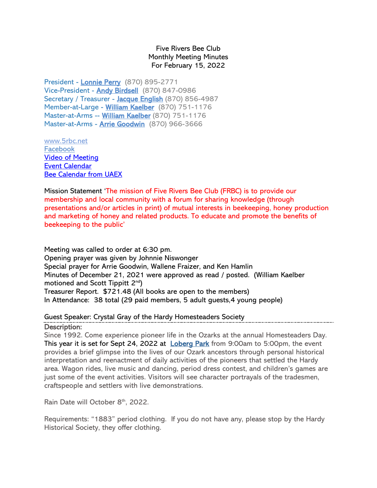Five Rivers Bee Club Monthly Meeting Minutes For February 15, 2022

President - [Lonnie Perry](mailto:lonnieperry1@aol.com) (870) 895-2771 Vice-President - [Andy Birdsell](mailto:birdselladj@yahoo.com) (870) 847-0986 Secretary / Treasurer - [Jacque English](mailto:unitsi@rpge.net) (870) 856-4987 Member-at-Large - [William Kaelber](mailto:druidjax@gmail.com) (870) 751-1176 Master-at-Arms -- [William Kaelber](mailto:druidjax@gmail.com) (870) 751-1176 Master-at-Arms - [Arrie Goodwin](mailto:arrei1@centurylink.net) (870) 966-3666

[www.5rbc.net](http://www.5rbc.net/) [Facebook](https://www.facebook.com/groups/590964444394870/) [Video of Meeting](http://5rbc.net/Media/Movies/2022/20220215.MP4) [Event Calendar](http://5rbc.net/events.html) [Bee Calendar from UAEX](https://www.uaex.uada.edu/farm-ranch/special-programs/beekeeping/calendar.aspx)

Mission Statement 'The mission of Five Rivers Bee Club (FRBC) is to provide our membership and local community with a forum for sharing knowledge (through presentations and/or articles in print) of mutual interests in beekeeping, honey production and marketing of honey and related products. To educate and promote the benefits of beekeeping to the public'

Meeting was called to order at 6:30 pm. Opening prayer was given by Johnnie Niswonger Special prayer for Arrie Goodwin, Wallene Fraizer, and Ken Hamlin Minutes of December 21, 2021 were approved as read / posted. (William Kaelber motioned and Scott Tippitt 2nd) Treasurer Report. \$721.48 (All books are open to the members) In Attendance: 38 total (29 paid members, 5 adult guests,4 young people)

## Guest Speaker: Crystal Gray of the Hardy Homesteaders Society

Description:

Since 1992. Come experience pioneer life in the Ozarks at the annual Homesteaders Day. This year it is set for Sept 24, 2022 at [Loberg Park](https://www.eventcrazy.com/Hardy-AR/attractions/details/58203-Loberg-Park) from 9:00am to 5:00pm, the event provides a brief glimpse into the lives of our Ozark ancestors through personal historical interpretation and reenactment of daily activities of the pioneers that settled the Hardy area. Wagon rides, live music and dancing, period dress contest, and children's games are just some of the event activities. Visitors will see character portrayals of the tradesmen, craftspeople and settlers with live demonstrations.

Rain Date will October 8<sup>th</sup>, 2022.

Requirements: "1883" period clothing. If you do not have any, please stop by the Hardy Historical Society, they offer clothing.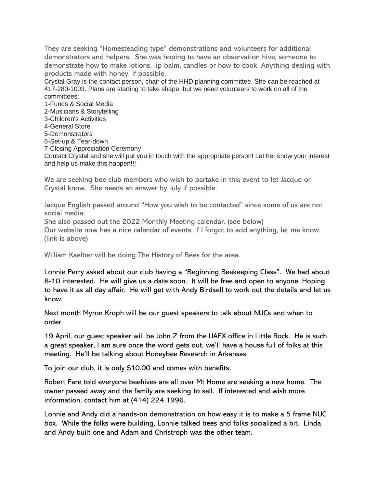They are seeking "Homesteading type" demonstrations and volunteers for additional demonstrators and helpers. She was hoping to have an observation hive, someone to demonstrate how to make lotions, lip balm, candles or how to cook. Anything dealing with products made with honey, if possible.

Crystal Gray is the contact person, chair of the HHD planning committee. She can be reached at 417-280-1003. Plans are starting to take shape, but we need volunteers to work on all of the committees:

1-Funds & Social Media 2-Musicians & Storytelling 3-Children's Activities 4-General Store 5-Demonstrators 6-Set-up & Tear-down 7-Closing Appreciation Ceremony Contact Crystal and she will put you in touch with the appropriate person! Let her know your interest and help us make this happen!!!

We are seeking bee club members who wish to partake in this event to let Jacque or Crystal know. She needs an answer by July if possible.

Jacque English passed around "How you wish to be contacted" since some of us are not social media.

She also passed out the 2022 Monthly Meeting calendar. (see below)

Our website now has a nice calendar of events, if I forgot to add anything, let me know. (link is above)

William Kaelber will be doing The History of Bees for the area.

Lonnie Perry asked about our club having a "Beginning Beekeeping Class". We had about 8-10 interested. He will give us a date soon. It will be free and open to anyone. Hoping to have it as all day affair. He will get with Andy Birdsell to work out the details and let us know.

Next month Myron Kroph will be our guest speakers to talk about NUCs and when to order.

19 April, our guest speaker will be John Z from the UAEX office in Little Rock. He is such a great speaker, I am sure once the word gets out, we'll have a house full of folks at this meeting. He'll be talking about Honeybee Research in Arkansas.

To join our club, it is only \$10.00 and comes with benefits.

Robert Fare told everyone beehives are all over Mt Home are seeking a new home. The owner passed away and the family are seeking to sell. If interested and wish more information, contact him at (414) 224.1996.

Lonnie and Andy did a hands-on demonstration on how easy it is to make a 5 frame NUC box. While the folks were building, Lonnie talked bees and folks socialized a bit. Linda and Andy built one and Adam and Christroph was the other team.